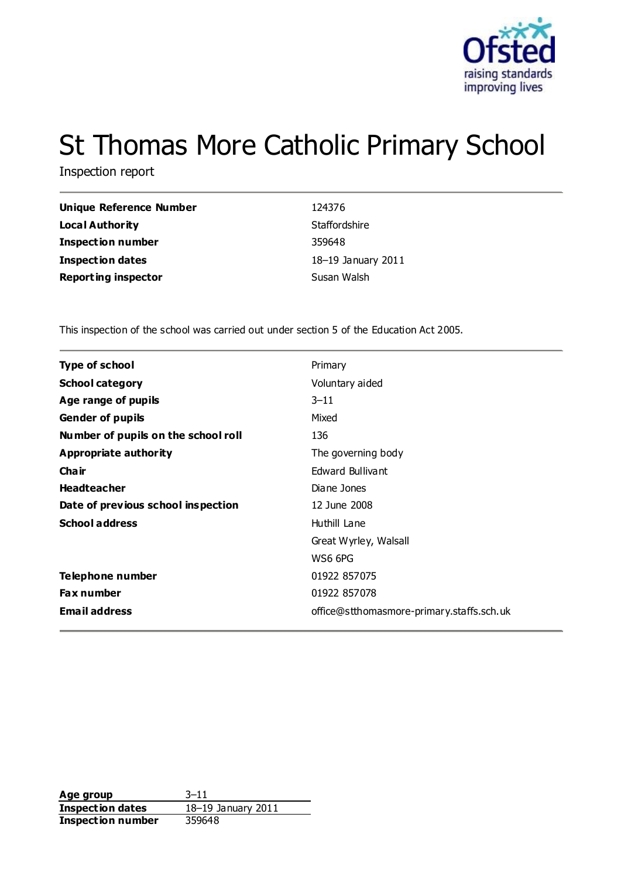

# St Thomas More Catholic Primary School

Inspection report

| Unique Reference Number    | 124376             |
|----------------------------|--------------------|
| <b>Local Authority</b>     | Staffordshire      |
| <b>Inspection number</b>   | 359648             |
| <b>Inspection dates</b>    | 18-19 January 2011 |
| <b>Reporting inspector</b> | Susan Walsh        |

This inspection of the school was carried out under section 5 of the Education Act 2005.

| <b>Type of school</b>               | Primary                                   |
|-------------------------------------|-------------------------------------------|
| <b>School category</b>              | Voluntary aided                           |
| Age range of pupils                 | $3 - 11$                                  |
| <b>Gender of pupils</b>             | Mixed                                     |
| Number of pupils on the school roll | 136                                       |
| Appropriate authority               | The governing body                        |
| Cha ir                              | Edward Bullivant                          |
| <b>Headteacher</b>                  | Diane Jones                               |
| Date of previous school inspection  | 12 June 2008                              |
| <b>School address</b>               | Huthill Lane                              |
|                                     | Great Wyrley, Walsall                     |
|                                     | WS6 6PG                                   |
| Telephone number                    | 01922 857075                              |
| Fax number                          | 01922 857078                              |
| <b>Email address</b>                | office@stthomasmore-primary.staffs.sch.uk |
|                                     |                                           |

**Age group** 3–11 **Inspection dates** 18–19 January 2011 **Inspection number** 359648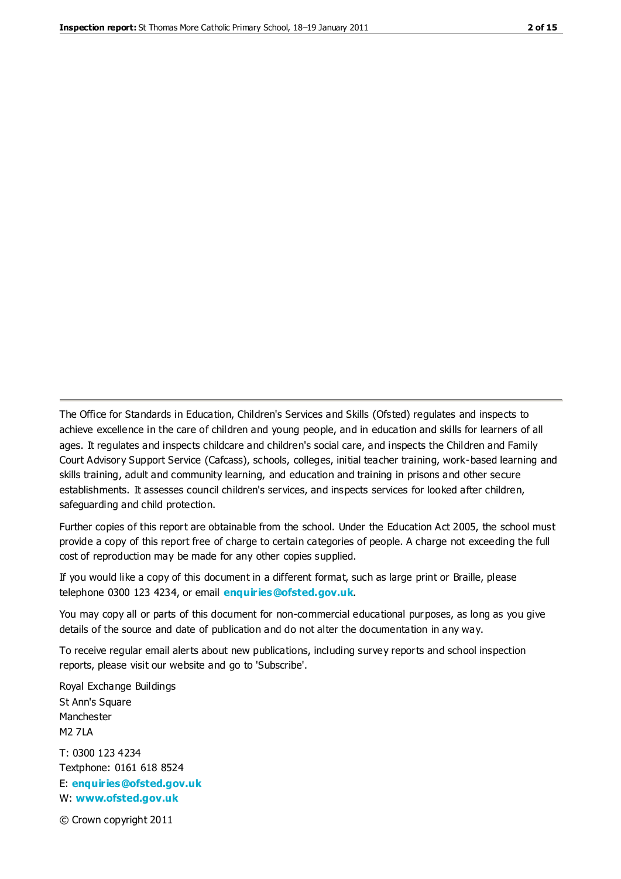The Office for Standards in Education, Children's Services and Skills (Ofsted) regulates and inspects to achieve excellence in the care of children and young people, and in education and skills for learners of all ages. It regulates and inspects childcare and children's social care, and inspects the Children and Family Court Advisory Support Service (Cafcass), schools, colleges, initial teacher training, work-based learning and skills training, adult and community learning, and education and training in prisons and other secure establishments. It assesses council children's services, and inspects services for looked after children, safeguarding and child protection.

Further copies of this report are obtainable from the school. Under the Education Act 2005, the school must provide a copy of this report free of charge to certain categories of people. A charge not exceeding the full cost of reproduction may be made for any other copies supplied.

If you would like a copy of this document in a different format, such as large print or Braille, please telephone 0300 123 4234, or email **[enquiries@ofsted.gov.uk](mailto:enquiries@ofsted.gov.uk)**.

You may copy all or parts of this document for non-commercial educational purposes, as long as you give details of the source and date of publication and do not alter the documentation in any way.

To receive regular email alerts about new publications, including survey reports and school inspection reports, please visit our website and go to 'Subscribe'.

Royal Exchange Buildings St Ann's Square Manchester M2 7LA T: 0300 123 4234 Textphone: 0161 618 8524 E: **[enquiries@ofsted.gov.uk](mailto:enquiries@ofsted.gov.uk)**

W: **[www.ofsted.gov.uk](http://www.ofsted.gov.uk/)**

© Crown copyright 2011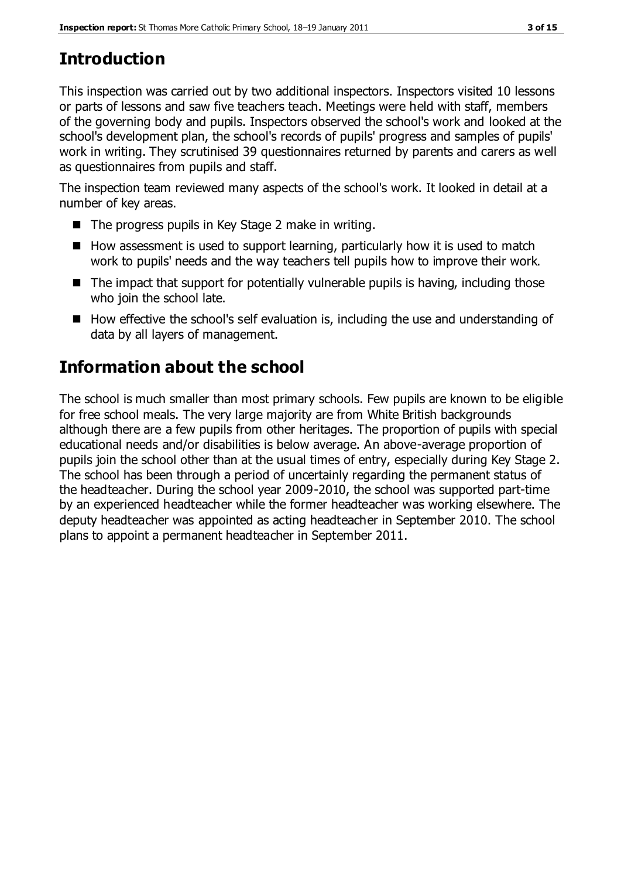# **Introduction**

This inspection was carried out by two additional inspectors. Inspectors visited 10 lessons or parts of lessons and saw five teachers teach. Meetings were held with staff, members of the governing body and pupils. Inspectors observed the school's work and looked at the school's development plan, the school's records of pupils' progress and samples of pupils' work in writing. They scrutinised 39 questionnaires returned by parents and carers as well as questionnaires from pupils and staff.

The inspection team reviewed many aspects of the school's work. It looked in detail at a number of key areas.

- $\blacksquare$  The progress pupils in Key Stage 2 make in writing.
- $\blacksquare$  How assessment is used to support learning, particularly how it is used to match work to pupils' needs and the way teachers tell pupils how to improve their work.
- $\blacksquare$  The impact that support for potentially vulnerable pupils is having, including those who join the school late.
- How effective the school's self evaluation is, including the use and understanding of data by all layers of management.

# **Information about the school**

The school is much smaller than most primary schools. Few pupils are known to be eligible for free school meals. The very large majority are from White British backgrounds although there are a few pupils from other heritages. The proportion of pupils with special educational needs and/or disabilities is below average. An above-average proportion of pupils join the school other than at the usual times of entry, especially during Key Stage 2. The school has been through a period of uncertainly regarding the permanent status of the headteacher. During the school year 2009-2010, the school was supported part-time by an experienced headteacher while the former headteacher was working elsewhere. The deputy headteacher was appointed as acting headteacher in September 2010. The school plans to appoint a permanent headteacher in September 2011.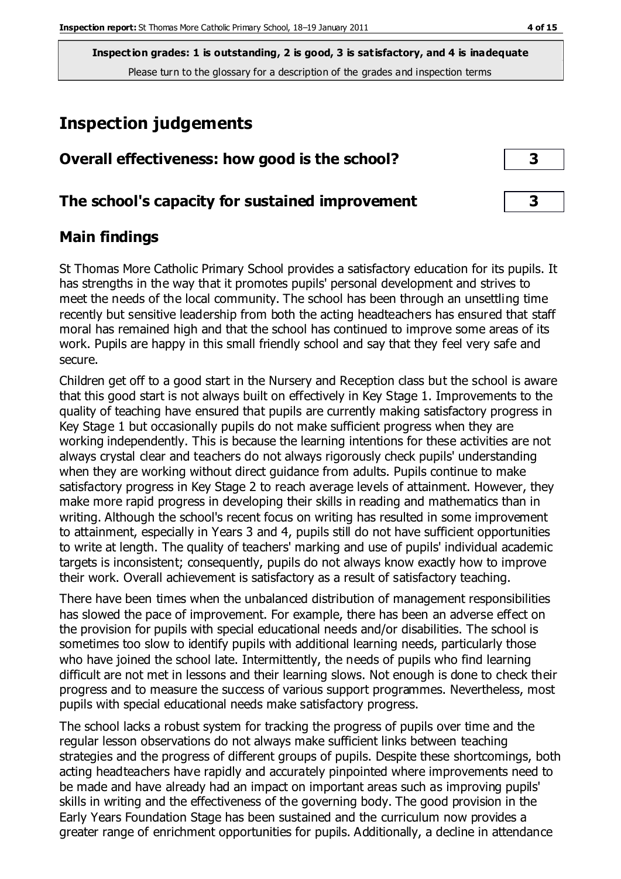# **Inspection judgements**

| Overall effectiveness: how good is the school?  |  |
|-------------------------------------------------|--|
| The school's capacity for sustained improvement |  |

### **Main findings**

St Thomas More Catholic Primary School provides a satisfactory education for its pupils. It has strengths in the way that it promotes pupils' personal development and strives to meet the needs of the local community. The school has been through an unsettling time recently but sensitive leadership from both the acting headteachers has ensured that staff moral has remained high and that the school has continued to improve some areas of its work. Pupils are happy in this small friendly school and say that they feel very safe and secure.

Children get off to a good start in the Nursery and Reception class but the school is aware that this good start is not always built on effectively in Key Stage 1. Improvements to the quality of teaching have ensured that pupils are currently making satisfactory progress in Key Stage 1 but occasionally pupils do not make sufficient progress when they are working independently. This is because the learning intentions for these activities are not always crystal clear and teachers do not always rigorously check pupils' understanding when they are working without direct guidance from adults. Pupils continue to make satisfactory progress in Key Stage 2 to reach average levels of attainment. However, they make more rapid progress in developing their skills in reading and mathematics than in writing. Although the school's recent focus on writing has resulted in some improvement to attainment, especially in Years 3 and 4, pupils still do not have sufficient opportunities to write at length. The quality of teachers' marking and use of pupils' individual academic targets is inconsistent; consequently, pupils do not always know exactly how to improve their work. Overall achievement is satisfactory as a result of satisfactory teaching.

There have been times when the unbalanced distribution of management responsibilities has slowed the pace of improvement. For example, there has been an adverse effect on the provision for pupils with special educational needs and/or disabilities. The school is sometimes too slow to identify pupils with additional learning needs, particularly those who have joined the school late. Intermittently, the needs of pupils who find learning difficult are not met in lessons and their learning slows. Not enough is done to check their progress and to measure the success of various support programmes. Nevertheless, most pupils with special educational needs make satisfactory progress.

The school lacks a robust system for tracking the progress of pupils over time and the regular lesson observations do not always make sufficient links between teaching strategies and the progress of different groups of pupils. Despite these shortcomings, both acting headteachers have rapidly and accurately pinpointed where improvements need to be made and have already had an impact on important areas such as improving pupils' skills in writing and the effectiveness of the governing body. The good provision in the Early Years Foundation Stage has been sustained and the curriculum now provides a greater range of enrichment opportunities for pupils. Additionally, a decline in attendance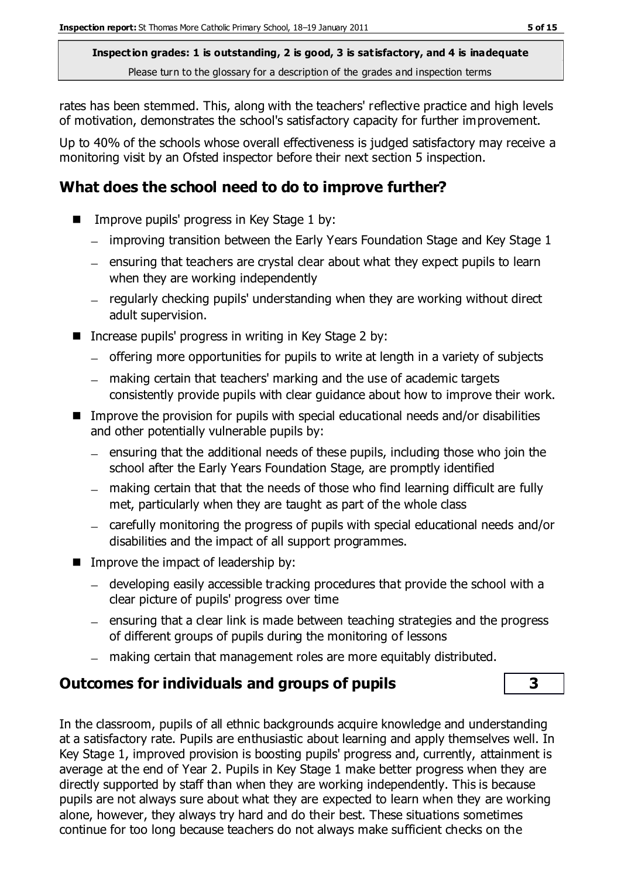rates has been stemmed. This, along with the teachers' reflective practice and high levels of motivation, demonstrates the school's satisfactory capacity for further improvement.

Up to 40% of the schools whose overall effectiveness is judged satisfactory may receive a monitoring visit by an Ofsted inspector before their next section 5 inspection.

### **What does the school need to do to improve further?**

- Improve pupils' progress in Key Stage 1 by:
	- improving transition between the Early Years Foundation Stage and Key Stage 1
	- $-$  ensuring that teachers are crystal clear about what they expect pupils to learn when they are working independently
	- $-$  regularly checking pupils' understanding when they are working without direct adult supervision.
- Increase pupils' progress in writing in Key Stage 2 by:
	- offering more opportunities for pupils to write at length in a variety of subjects
	- making certain that teachers' marking and the use of academic targets consistently provide pupils with clear guidance about how to improve their work.
- Improve the provision for pupils with special educational needs and/or disabilities and other potentially vulnerable pupils by:
	- $=$  ensuring that the additional needs of these pupils, including those who join the school after the Early Years Foundation Stage, are promptly identified
	- making certain that that the needs of those who find learning difficult are fully met, particularly when they are taught as part of the whole class
	- carefully monitoring the progress of pupils with special educational needs and/or disabilities and the impact of all support programmes.
- $\blacksquare$  Improve the impact of leadership by:
	- developing easily accessible tracking procedures that provide the school with a clear picture of pupils' progress over time
	- $=$  ensuring that a clear link is made between teaching strategies and the progress of different groups of pupils during the monitoring of lessons
	- making certain that management roles are more equitably distributed.

### **Outcomes for individuals and groups of pupils 3**

In the classroom, pupils of all ethnic backgrounds acquire knowledge and understanding at a satisfactory rate. Pupils are enthusiastic about learning and apply themselves well. In Key Stage 1, improved provision is boosting pupils' progress and, currently, attainment is average at the end of Year 2. Pupils in Key Stage 1 make better progress when they are directly supported by staff than when they are working independently. This is because pupils are not always sure about what they are expected to learn when they are working alone, however, they always try hard and do their best. These situations sometimes continue for too long because teachers do not always make sufficient checks on the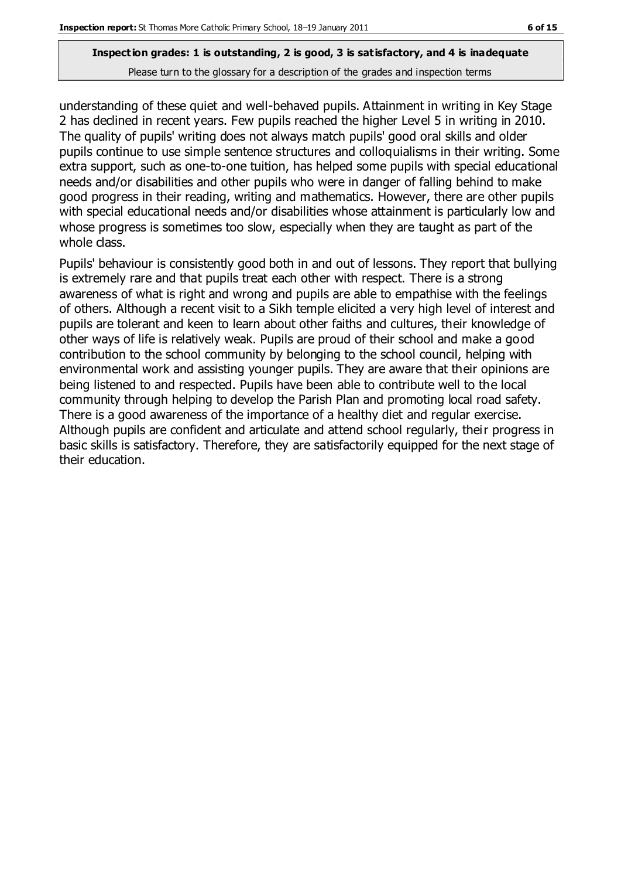understanding of these quiet and well-behaved pupils. Attainment in writing in Key Stage 2 has declined in recent years. Few pupils reached the higher Level 5 in writing in 2010. The quality of pupils' writing does not always match pupils' good oral skills and older pupils continue to use simple sentence structures and colloquialisms in their writing. Some extra support, such as one-to-one tuition, has helped some pupils with special educational needs and/or disabilities and other pupils who were in danger of falling behind to make good progress in their reading, writing and mathematics. However, there are other pupils with special educational needs and/or disabilities whose attainment is particularly low and whose progress is sometimes too slow, especially when they are taught as part of the whole class.

Pupils' behaviour is consistently good both in and out of lessons. They report that bullying is extremely rare and that pupils treat each other with respect. There is a strong awareness of what is right and wrong and pupils are able to empathise with the feelings of others. Although a recent visit to a Sikh temple elicited a very high level of interest and pupils are tolerant and keen to learn about other faiths and cultures, their knowledge of other ways of life is relatively weak. Pupils are proud of their school and make a good contribution to the school community by belonging to the school council, helping with environmental work and assisting younger pupils. They are aware that their opinions are being listened to and respected. Pupils have been able to contribute well to the local community through helping to develop the Parish Plan and promoting local road safety. There is a good awareness of the importance of a healthy diet and regular exercise. Although pupils are confident and articulate and attend school regularly, their progress in basic skills is satisfactory. Therefore, they are satisfactorily equipped for the next stage of their education.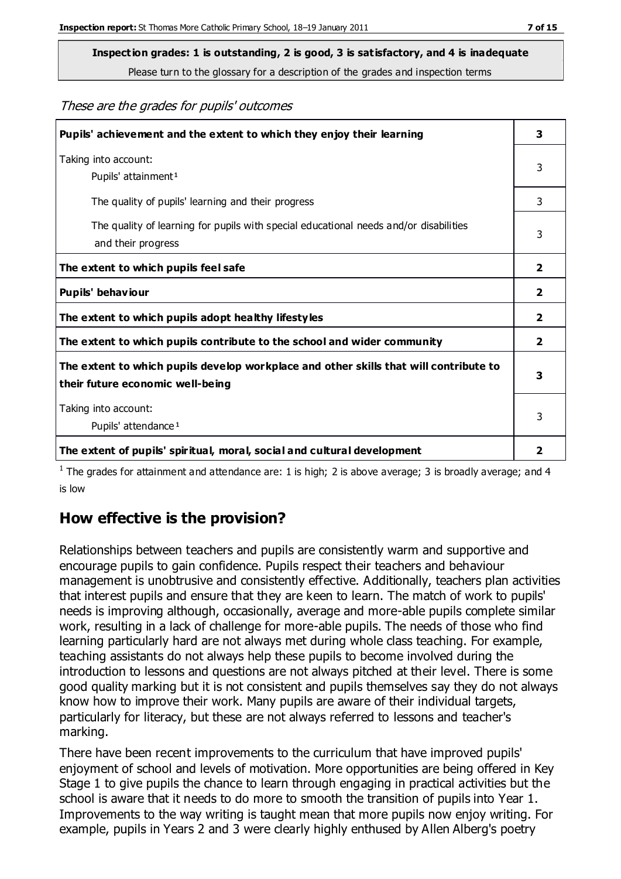**Inspection grades: 1 is outstanding, 2 is good, 3 is satisfactory, and 4 is inadequate**

Please turn to the glossary for a description of the grades and inspection terms

These are the grades for pupils' outcomes

| Pupils' achievement and the extent to which they enjoy their learning                                                     | 3            |
|---------------------------------------------------------------------------------------------------------------------------|--------------|
| Taking into account:<br>Pupils' attainment <sup>1</sup>                                                                   | 3            |
| The quality of pupils' learning and their progress                                                                        | 3            |
| The quality of learning for pupils with special educational needs and/or disabilities<br>and their progress               | 3            |
| The extent to which pupils feel safe                                                                                      | $\mathbf{z}$ |
| Pupils' behaviour                                                                                                         | 2            |
| The extent to which pupils adopt healthy lifestyles                                                                       | 2            |
| The extent to which pupils contribute to the school and wider community                                                   | 2            |
| The extent to which pupils develop workplace and other skills that will contribute to<br>their future economic well-being | 3            |
| Taking into account:<br>Pupils' attendance <sup>1</sup>                                                                   | 3            |
| The extent of pupils' spiritual, moral, social and cultural development                                                   | 2            |

<sup>1</sup> The grades for attainment and attendance are: 1 is high; 2 is above average; 3 is broadly average; and 4 is low

### **How effective is the provision?**

Relationships between teachers and pupils are consistently warm and supportive and encourage pupils to gain confidence. Pupils respect their teachers and behaviour management is unobtrusive and consistently effective. Additionally, teachers plan activities that interest pupils and ensure that they are keen to learn. The match of work to pupils' needs is improving although, occasionally, average and more-able pupils complete similar work, resulting in a lack of challenge for more-able pupils. The needs of those who find learning particularly hard are not always met during whole class teaching. For example, teaching assistants do not always help these pupils to become involved during the introduction to lessons and questions are not always pitched at their level. There is some good quality marking but it is not consistent and pupils themselves say they do not always know how to improve their work. Many pupils are aware of their individual targets, particularly for literacy, but these are not always referred to lessons and teacher's marking.

There have been recent improvements to the curriculum that have improved pupils' enjoyment of school and levels of motivation. More opportunities are being offered in Key Stage 1 to give pupils the chance to learn through engaging in practical activities but the school is aware that it needs to do more to smooth the transition of pupils into Year 1. Improvements to the way writing is taught mean that more pupils now enjoy writing. For example, pupils in Years 2 and 3 were clearly highly enthused by Allen Alberg's poetry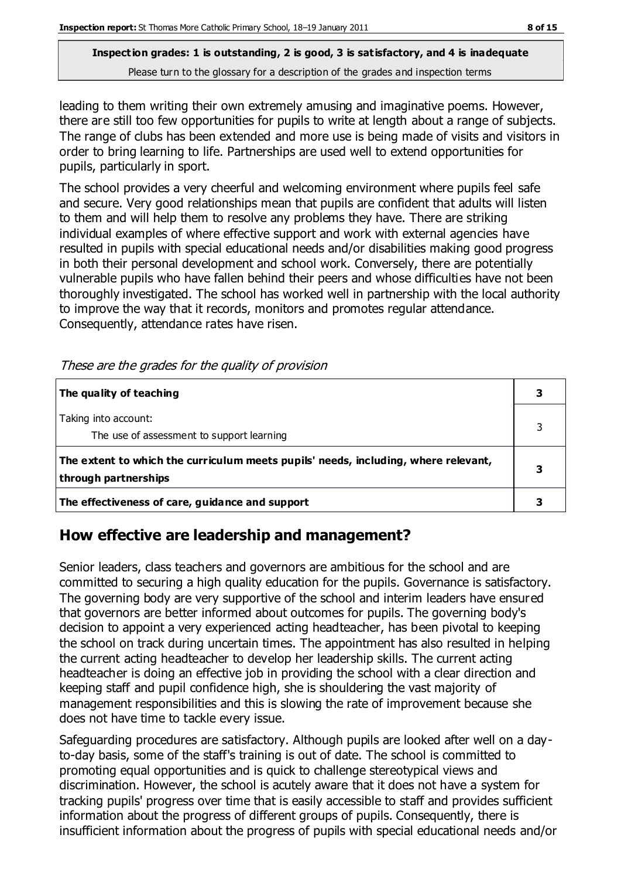leading to them writing their own extremely amusing and imaginative poems. However, there are still too few opportunities for pupils to write at length about a range of subjects. The range of clubs has been extended and more use is being made of visits and visitors in order to bring learning to life. Partnerships are used well to extend opportunities for pupils, particularly in sport.

The school provides a very cheerful and welcoming environment where pupils feel safe and secure. Very good relationships mean that pupils are confident that adults will listen to them and will help them to resolve any problems they have. There are striking individual examples of where effective support and work with external agencies have resulted in pupils with special educational needs and/or disabilities making good progress in both their personal development and school work. Conversely, there are potentially vulnerable pupils who have fallen behind their peers and whose difficulties have not been thoroughly investigated. The school has worked well in partnership with the local authority to improve the way that it records, monitors and promotes regular attendance. Consequently, attendance rates have risen.

|  |  |  |  |  | These are the grades for the quality of provision |
|--|--|--|--|--|---------------------------------------------------|
|--|--|--|--|--|---------------------------------------------------|

| The quality of teaching                                                                                    |  |
|------------------------------------------------------------------------------------------------------------|--|
| Taking into account:<br>The use of assessment to support learning                                          |  |
| The extent to which the curriculum meets pupils' needs, including, where relevant,<br>through partnerships |  |
| The effectiveness of care, guidance and support                                                            |  |

### **How effective are leadership and management?**

Senior leaders, class teachers and governors are ambitious for the school and are committed to securing a high quality education for the pupils. Governance is satisfactory. The governing body are very supportive of the school and interim leaders have ensured that governors are better informed about outcomes for pupils. The governing body's decision to appoint a very experienced acting headteacher, has been pivotal to keeping the school on track during uncertain times. The appointment has also resulted in helping the current acting headteacher to develop her leadership skills. The current acting headteacher is doing an effective job in providing the school with a clear direction and keeping staff and pupil confidence high, she is shouldering the vast majority of management responsibilities and this is slowing the rate of improvement because she does not have time to tackle every issue.

Safeguarding procedures are satisfactory. Although pupils are looked after well on a dayto-day basis, some of the staff's training is out of date. The school is committed to promoting equal opportunities and is quick to challenge stereotypical views and discrimination. However, the school is acutely aware that it does not have a system for tracking pupils' progress over time that is easily accessible to staff and provides sufficient information about the progress of different groups of pupils. Consequently, there is insufficient information about the progress of pupils with special educational needs and/or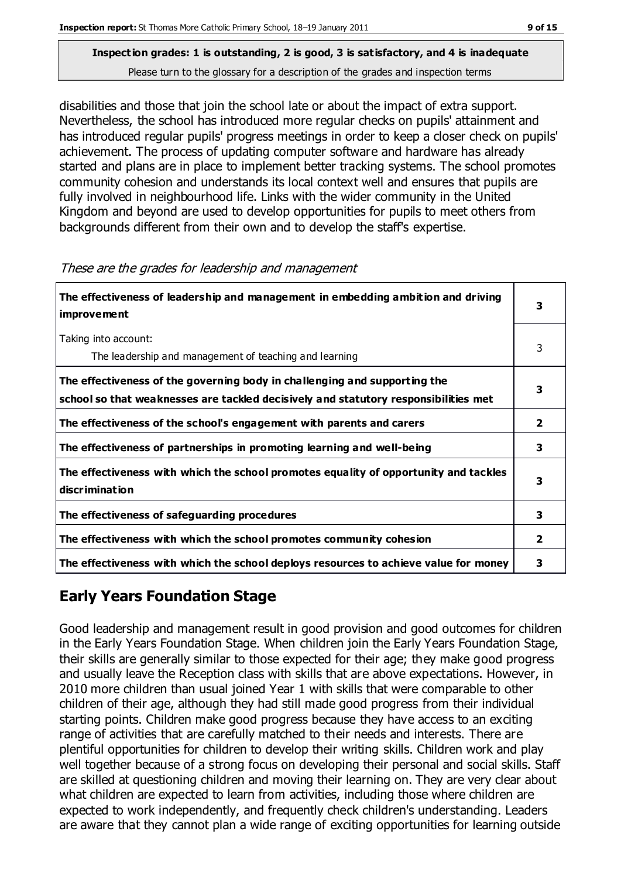disabilities and those that join the school late or about the impact of extra support. Nevertheless, the school has introduced more regular checks on pupils' attainment and has introduced regular pupils' progress meetings in order to keep a closer check on pupils' achievement. The process of updating computer software and hardware has already started and plans are in place to implement better tracking systems. The school promotes community cohesion and understands its local context well and ensures that pupils are fully involved in neighbourhood life. Links with the wider community in the United Kingdom and beyond are used to develop opportunities for pupils to meet others from backgrounds different from their own and to develop the staff's expertise.

| The effectiveness of leadership and management in embedding ambition and driving<br><i>improvement</i>                                                           | 3 |
|------------------------------------------------------------------------------------------------------------------------------------------------------------------|---|
| Taking into account:<br>The leadership and management of teaching and learning                                                                                   | 3 |
| The effectiveness of the governing body in challenging and supporting the<br>school so that weaknesses are tackled decisively and statutory responsibilities met | 3 |
| The effectiveness of the school's engagement with parents and carers                                                                                             | 2 |
| The effectiveness of partnerships in promoting learning and well-being                                                                                           | 3 |
| The effectiveness with which the school promotes equality of opportunity and tackles<br>discrimination                                                           | 3 |
| The effectiveness of safeguarding procedures                                                                                                                     | 3 |
| The effectiveness with which the school promotes community cohesion                                                                                              |   |
| The effectiveness with which the school deploys resources to achieve value for money                                                                             | 3 |

These are the grades for leadership and management

# **Early Years Foundation Stage**

Good leadership and management result in good provision and good outcomes for children in the Early Years Foundation Stage. When children join the Early Years Foundation Stage, their skills are generally similar to those expected for their age; they make good progress and usually leave the Reception class with skills that are above expectations. However, in 2010 more children than usual joined Year 1 with skills that were comparable to other children of their age, although they had still made good progress from their individual starting points. Children make good progress because they have access to an exciting range of activities that are carefully matched to their needs and interests. There are plentiful opportunities for children to develop their writing skills. Children work and play well together because of a strong focus on developing their personal and social skills. Staff are skilled at questioning children and moving their learning on. They are very clear about what children are expected to learn from activities, including those where children are expected to work independently, and frequently check children's understanding. Leaders are aware that they cannot plan a wide range of exciting opportunities for learning outside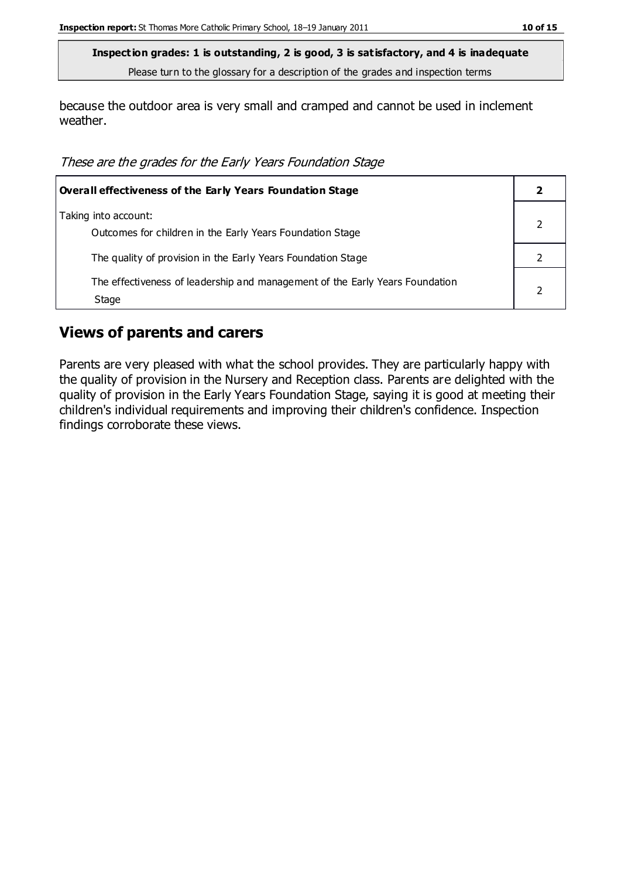because the outdoor area is very small and cramped and cannot be used in inclement weather.

These are the grades for the Early Years Foundation Stage

| <b>Overall effectiveness of the Early Years Foundation Stage</b>                      |  |  |
|---------------------------------------------------------------------------------------|--|--|
| Taking into account:<br>Outcomes for children in the Early Years Foundation Stage     |  |  |
| The quality of provision in the Early Years Foundation Stage                          |  |  |
| The effectiveness of leadership and management of the Early Years Foundation<br>Stage |  |  |

#### **Views of parents and carers**

Parents are very pleased with what the school provides. They are particularly happy with the quality of provision in the Nursery and Reception class. Parents are delighted with the quality of provision in the Early Years Foundation Stage, saying it is good at meeting their children's individual requirements and improving their children's confidence. Inspection findings corroborate these views.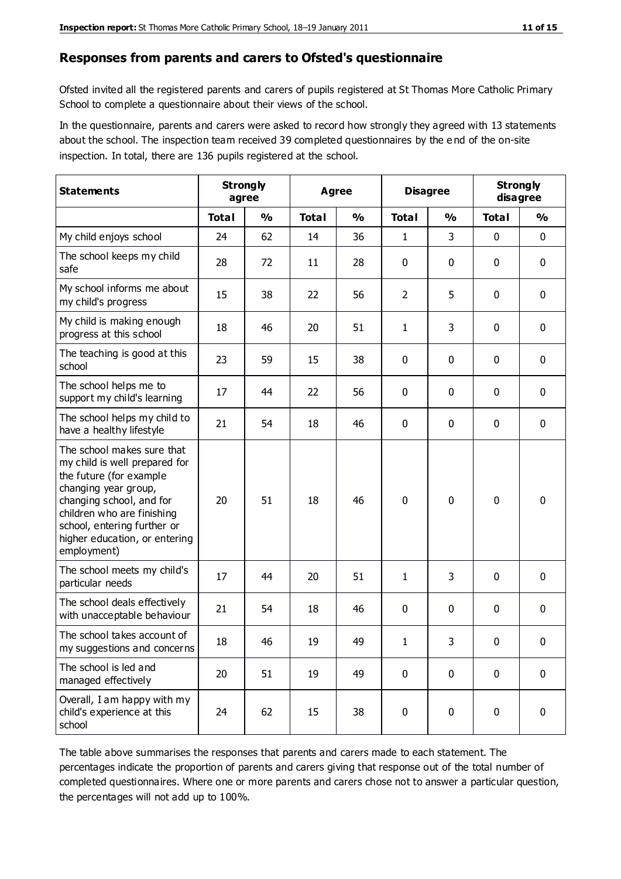#### **Responses from parents and carers to Ofsted's questionnaire**

Ofsted invited all the registered parents and carers of pupils registered at St Thomas More Catholic Primary School to complete a questionnaire about their views of the school.

In the questionnaire, parents and carers were asked to record how strongly they agreed with 13 statements about the school. The inspection team received 39 completed questionnaires by the e nd of the on-site inspection. In total, there are 136 pupils registered at the school.

| <b>Statements</b>                                                                                                                                                                                                                                       | <b>Strongly</b><br>agree |               |              | Agree         |                | <b>Disagree</b> |              | <b>Strongly</b><br>disagree |
|---------------------------------------------------------------------------------------------------------------------------------------------------------------------------------------------------------------------------------------------------------|--------------------------|---------------|--------------|---------------|----------------|-----------------|--------------|-----------------------------|
|                                                                                                                                                                                                                                                         | <b>Total</b>             | $\frac{0}{0}$ | <b>Total</b> | $\frac{0}{0}$ | <b>Total</b>   | $\frac{0}{0}$   | <b>Total</b> | %                           |
| My child enjoys school                                                                                                                                                                                                                                  | 24                       | 62            | 14           | 36            | 1              | 3               | 0            | $\mathbf 0$                 |
| The school keeps my child<br>safe                                                                                                                                                                                                                       | 28                       | 72            | 11           | 28            | 0              | 0               | $\mathbf 0$  | $\mathbf 0$                 |
| My school informs me about<br>my child's progress                                                                                                                                                                                                       | 15                       | 38            | 22           | 56            | $\overline{2}$ | 5               | $\mathbf{0}$ | $\mathbf 0$                 |
| My child is making enough<br>progress at this school                                                                                                                                                                                                    | 18                       | 46            | 20           | 51            | 1              | 3               | 0            | $\mathbf 0$                 |
| The teaching is good at this<br>school                                                                                                                                                                                                                  | 23                       | 59            | 15           | 38            | 0              | 0               | $\mathbf 0$  | $\mathbf 0$                 |
| The school helps me to<br>support my child's learning                                                                                                                                                                                                   | 17                       | 44            | 22           | 56            | 0              | 0               | $\mathbf 0$  | $\mathbf 0$                 |
| The school helps my child to<br>have a healthy lifestyle                                                                                                                                                                                                | 21                       | 54            | 18           | 46            | 0              | 0               | $\mathbf 0$  | $\mathbf 0$                 |
| The school makes sure that<br>my child is well prepared for<br>the future (for example<br>changing year group,<br>changing school, and for<br>children who are finishing<br>school, entering further or<br>higher education, or entering<br>employment) | 20                       | 51            | 18           | 46            | $\mathbf 0$    | 0               | $\mathbf 0$  | $\mathbf 0$                 |
| The school meets my child's<br>particular needs                                                                                                                                                                                                         | 17                       | 44            | 20           | 51            | 1              | 3               | $\mathbf 0$  | $\mathbf 0$                 |
| The school deals effectively<br>with unacceptable behaviour                                                                                                                                                                                             | 21                       | 54            | 18           | 46            | 0              | 0               | 0            | $\mathbf 0$                 |
| The school takes account of<br>my suggestions and concerns                                                                                                                                                                                              | 18                       | 46            | 19           | 49            | 1              | 3               | 0            | 0                           |
| The school is led and<br>managed effectively                                                                                                                                                                                                            | 20                       | 51            | 19           | 49            | $\mathbf 0$    | $\mathbf 0$     | $\mathbf 0$  | $\mathbf 0$                 |
| Overall, I am happy with my<br>child's experience at this<br>school                                                                                                                                                                                     | 24                       | 62            | 15           | 38            | $\pmb{0}$      | $\pmb{0}$       | $\mathbf 0$  | $\mathbf 0$                 |

The table above summarises the responses that parents and carers made to each statement. The percentages indicate the proportion of parents and carers giving that response out of the total number of completed questionnaires. Where one or more parents and carers chose not to answer a particular question, the percentages will not add up to 100%.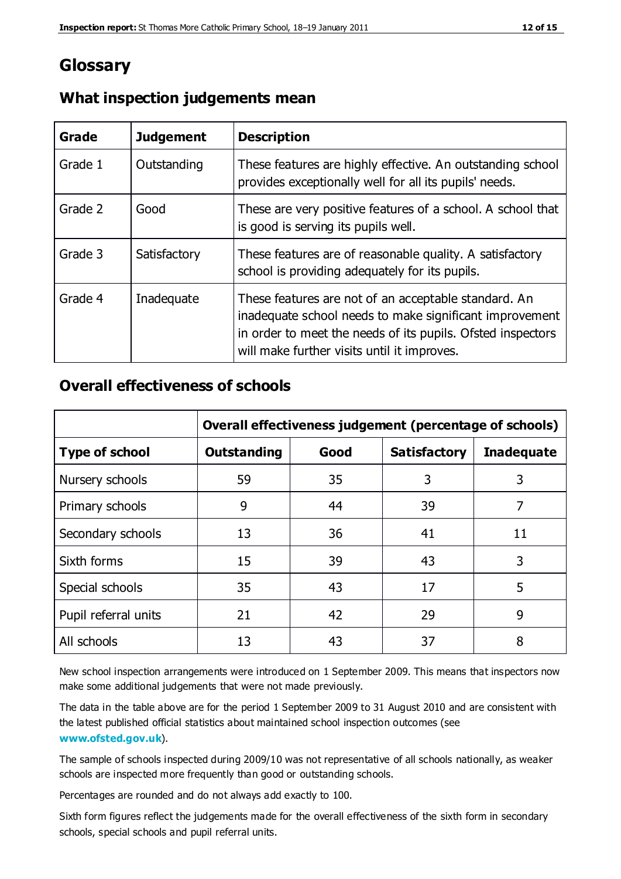### **Glossary**

| Grade   | <b>Judgement</b> | <b>Description</b>                                                                                                                                                                                                            |
|---------|------------------|-------------------------------------------------------------------------------------------------------------------------------------------------------------------------------------------------------------------------------|
| Grade 1 | Outstanding      | These features are highly effective. An outstanding school<br>provides exceptionally well for all its pupils' needs.                                                                                                          |
| Grade 2 | Good             | These are very positive features of a school. A school that<br>is good is serving its pupils well.                                                                                                                            |
| Grade 3 | Satisfactory     | These features are of reasonable quality. A satisfactory<br>school is providing adequately for its pupils.                                                                                                                    |
| Grade 4 | Inadequate       | These features are not of an acceptable standard. An<br>inadequate school needs to make significant improvement<br>in order to meet the needs of its pupils. Ofsted inspectors<br>will make further visits until it improves. |

### **What inspection judgements mean**

### **Overall effectiveness of schools**

|                       | Overall effectiveness judgement (percentage of schools) |      |                     |                   |
|-----------------------|---------------------------------------------------------|------|---------------------|-------------------|
| <b>Type of school</b> | <b>Outstanding</b>                                      | Good | <b>Satisfactory</b> | <b>Inadequate</b> |
| Nursery schools       | 59                                                      | 35   | 3                   | 3                 |
| Primary schools       | 9                                                       | 44   | 39                  | 7                 |
| Secondary schools     | 13                                                      | 36   | 41                  | 11                |
| Sixth forms           | 15                                                      | 39   | 43                  | 3                 |
| Special schools       | 35                                                      | 43   | 17                  | 5                 |
| Pupil referral units  | 21                                                      | 42   | 29                  | 9                 |
| All schools           | 13                                                      | 43   | 37                  | 8                 |

New school inspection arrangements were introduced on 1 September 2009. This means that inspectors now make some additional judgements that were not made previously.

The data in the table above are for the period 1 September 2009 to 31 August 2010 and are consistent with the latest published official statistics about maintained school inspection outcomes (see **[www.ofsted.gov.uk](http://www.ofsted.gov.uk/)**).

The sample of schools inspected during 2009/10 was not representative of all schools nationally, as weaker schools are inspected more frequently than good or outstanding schools.

Percentages are rounded and do not always add exactly to 100.

Sixth form figures reflect the judgements made for the overall effectiveness of the sixth form in secondary schools, special schools and pupil referral units.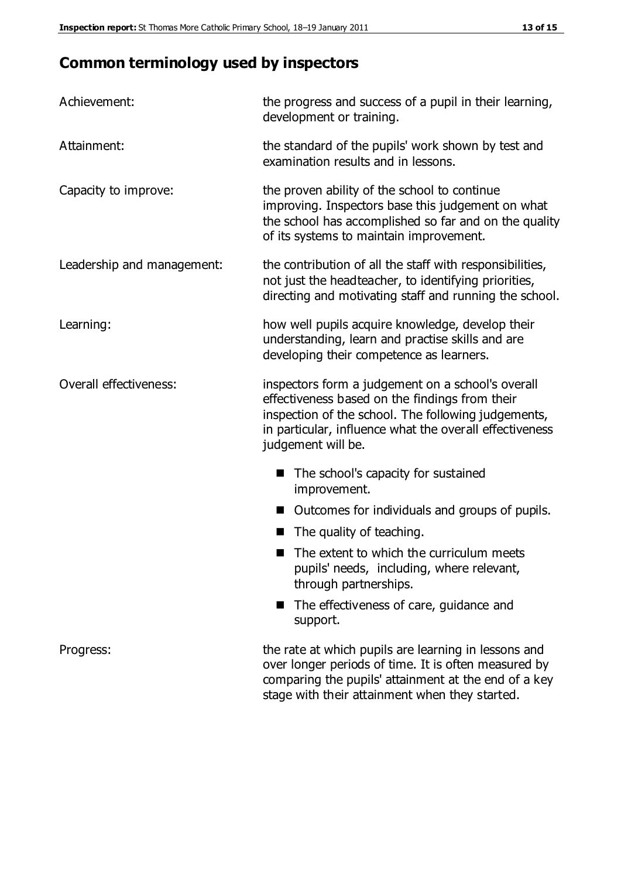# **Common terminology used by inspectors**

| Achievement:               | the progress and success of a pupil in their learning,<br>development or training.                                                                                                                                                          |  |  |
|----------------------------|---------------------------------------------------------------------------------------------------------------------------------------------------------------------------------------------------------------------------------------------|--|--|
| Attainment:                | the standard of the pupils' work shown by test and<br>examination results and in lessons.                                                                                                                                                   |  |  |
| Capacity to improve:       | the proven ability of the school to continue<br>improving. Inspectors base this judgement on what<br>the school has accomplished so far and on the quality<br>of its systems to maintain improvement.                                       |  |  |
| Leadership and management: | the contribution of all the staff with responsibilities,<br>not just the headteacher, to identifying priorities,<br>directing and motivating staff and running the school.                                                                  |  |  |
| Learning:                  | how well pupils acquire knowledge, develop their<br>understanding, learn and practise skills and are<br>developing their competence as learners.                                                                                            |  |  |
| Overall effectiveness:     | inspectors form a judgement on a school's overall<br>effectiveness based on the findings from their<br>inspection of the school. The following judgements,<br>in particular, influence what the overall effectiveness<br>judgement will be. |  |  |
|                            | The school's capacity for sustained<br>improvement.                                                                                                                                                                                         |  |  |
|                            | Outcomes for individuals and groups of pupils.                                                                                                                                                                                              |  |  |
|                            | The quality of teaching.                                                                                                                                                                                                                    |  |  |
|                            | The extent to which the curriculum meets<br>pupils' needs, including, where relevant,<br>through partnerships.                                                                                                                              |  |  |
|                            | The effectiveness of care, guidance and<br>support.                                                                                                                                                                                         |  |  |
| Progress:                  | the rate at which pupils are learning in lessons and<br>over longer periods of time. It is often measured by<br>comparing the pupils' attainment at the end of a key                                                                        |  |  |

stage with their attainment when they started.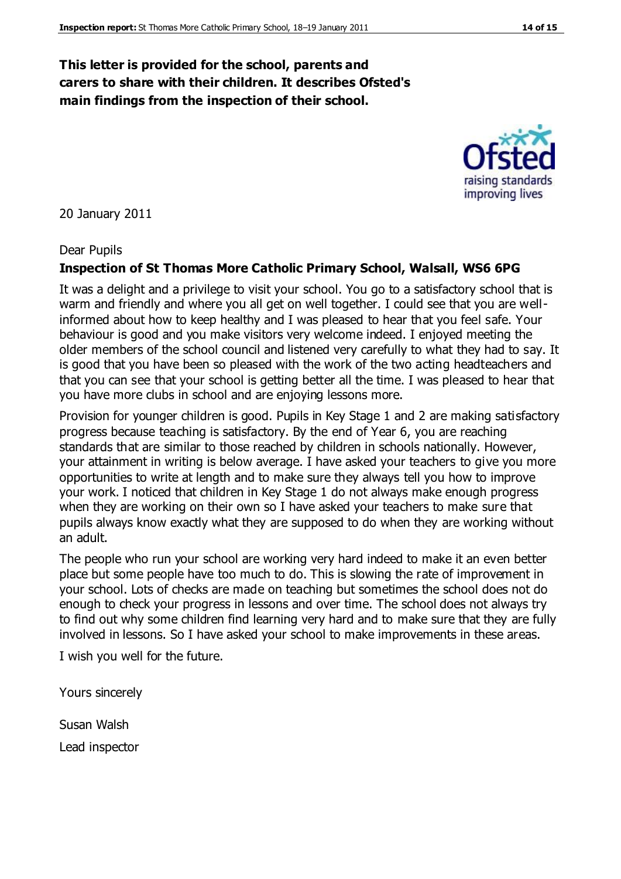### **This letter is provided for the school, parents and carers to share with their children. It describes Ofsted's main findings from the inspection of their school.**

#### 20 January 2011

#### Dear Pupils

#### **Inspection of St Thomas More Catholic Primary School, Walsall, WS6 6PG**

It was a delight and a privilege to visit your school. You go to a satisfactory school that is warm and friendly and where you all get on well together. I could see that you are wellinformed about how to keep healthy and I was pleased to hear that you feel safe. Your behaviour is good and you make visitors very welcome indeed. I enjoyed meeting the older members of the school council and listened very carefully to what they had to say. It is good that you have been so pleased with the work of the two acting headteachers and that you can see that your school is getting better all the time. I was pleased to hear that you have more clubs in school and are enjoying lessons more.

Provision for younger children is good. Pupils in Key Stage 1 and 2 are making satisfactory progress because teaching is satisfactory. By the end of Year 6, you are reaching standards that are similar to those reached by children in schools nationally. However, your attainment in writing is below average. I have asked your teachers to give you more opportunities to write at length and to make sure they always tell you how to improve your work. I noticed that children in Key Stage 1 do not always make enough progress when they are working on their own so I have asked your teachers to make sure that pupils always know exactly what they are supposed to do when they are working without an adult.

The people who run your school are working very hard indeed to make it an even better place but some people have too much to do. This is slowing the rate of improvement in your school. Lots of checks are made on teaching but sometimes the school does not do enough to check your progress in lessons and over time. The school does not always try to find out why some children find learning very hard and to make sure that they are fully involved in lessons. So I have asked your school to make improvements in these areas.

I wish you well for the future.

Yours sincerely

Susan Walsh Lead inspector